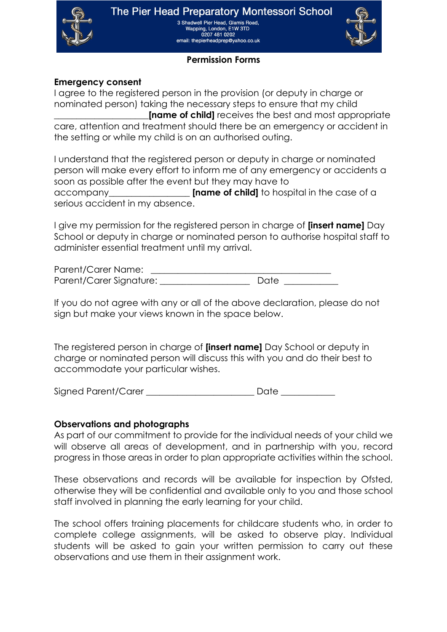

3 Shadwell Pier Head, Glamis Road, Wapping, London, E1W 3TD<br>0207 481 0202 email: thepierheadprep@yahoo.co.uk



# **Permission Forms**

### **Emergency consent**

I agree to the registered person in the provision (or deputy in charge or nominated person) taking the necessary steps to ensure that my child **Iname of child** receives the best and most appropriate care, attention and treatment should there be an emergency or accident in the setting or while my child is on an authorised outing.

I understand that the registered person or deputy in charge or nominated person will make every effort to inform me of any emergency or accidents a soon as possible after the event but they may have to accompany\_\_\_\_\_\_\_\_\_\_\_\_\_\_\_\_\_\_ **[name of child]** to hospital in the case of a serious accident in my absence.

I give my permission for the registered person in charge of **[insert name]** Day School or deputy in charge or nominated person to authorise hospital staff to administer essential treatment until my arrival.

Parent/Carer Name: Parent/Carer Signature: \_\_\_\_\_\_\_\_\_\_\_\_\_\_\_\_\_\_\_\_ Date \_\_\_\_\_\_\_\_\_\_\_\_

If you do not agree with any or all of the above declaration, please do not sign but make your views known in the space below.

The registered person in charge of **[insert name]** Day School or deputy in charge or nominated person will discuss this with you and do their best to accommodate your particular wishes.

Signed Parent/Carer \_\_\_\_\_\_\_\_\_\_\_\_\_\_\_\_\_\_\_\_\_\_\_\_ Date \_\_\_\_\_\_\_\_\_\_\_\_

#### **Observations and photographs**

As part of our commitment to provide for the individual needs of your child we will observe all areas of development, and in partnership with you, record progress in those areas in order to plan appropriate activities within the school.

These observations and records will be available for inspection by Ofsted, otherwise they will be confidential and available only to you and those school staff involved in planning the early learning for your child.

The school offers training placements for childcare students who, in order to complete college assignments, will be asked to observe play. Individual students will be asked to gain your written permission to carry out these observations and use them in their assignment work.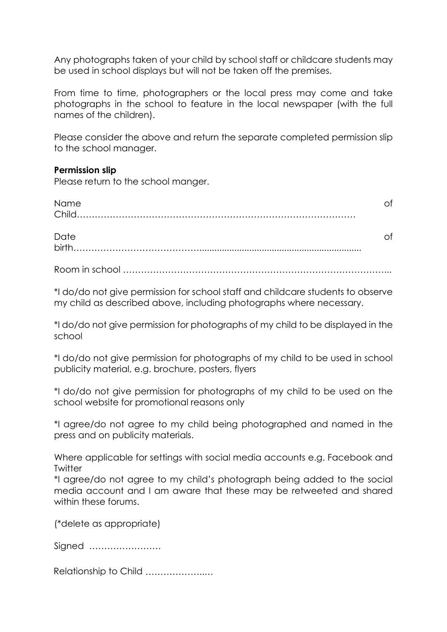Any photographs taken of your child by school staff or childcare students may be used in school displays but will not be taken off the premises.

From time to time, photographers or the local press may come and take photographs in the school to feature in the local newspaper (with the full names of the children).

Please consider the above and return the separate completed permission slip to the school manager.

### **Permission slip**

Please return to the school manger.

| Name |  |
|------|--|
| Date |  |

Room in school ……………………………………………………………………………...

\*I do/do not give permission for school staff and childcare students to observe my child as described above, including photographs where necessary.

\*I do/do not give permission for photographs of my child to be displayed in the school

\*I do/do not give permission for photographs of my child to be used in school publicity material, e.g. brochure, posters, flyers

\*I do/do not give permission for photographs of my child to be used on the school website for promotional reasons only

\*I agree/do not agree to my child being photographed and named in the press and on publicity materials.

Where applicable for settings with social media accounts e.g. Facebook and **Twitter** 

\*I agree/do not agree to my child's photograph being added to the social media account and I am aware that these may be retweeted and shared within these forums.

(\*delete as appropriate)

Signed ……………………

Relationship to Child ………………..…